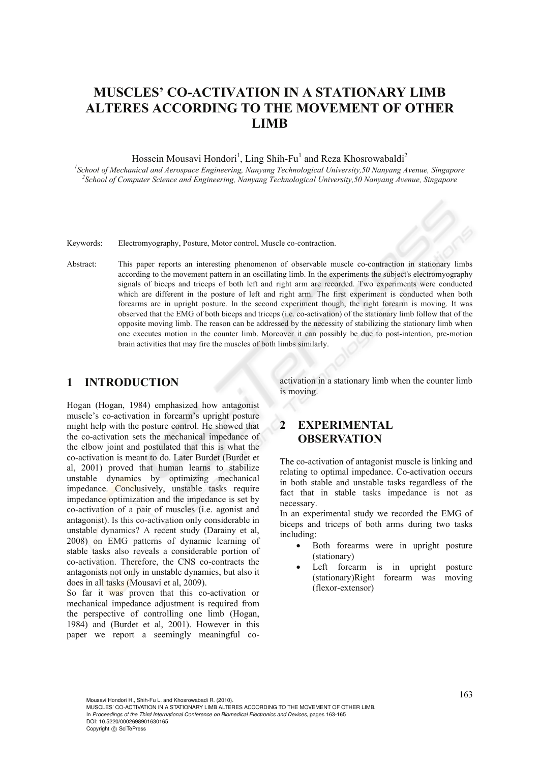# **MUSCLES' CO-ACTIVATION IN A STATIONARY LIMB ALTERES ACCORDING TO THE MOVEMENT OF OTHER LIMB**

Hossein Mousavi Hondori<sup>1</sup>, Ling Shih-Fu<sup>1</sup> and Reza Khosrowabaldi<sup>2</sup>

*1 School of Mechanical and Aerospace Engineering, Nanyang Technological University,50 Nanyang Avenue, Singapore 2 School of Computer Science and Engineering, Nanyang Technological University,50 Nanyang Avenue, Singapore* 

Keywords: Electromyography, Posture, Motor control, Muscle co-contraction.

Abstract: This paper reports an interesting phenomenon of observable muscle co-contraction in stationary limbs according to the movement pattern in an oscillating limb. In the experiments the subject's electromyography signals of biceps and triceps of both left and right arm are recorded. Two experiments were conducted which are different in the posture of left and right arm. The first experiment is conducted when both forearms are in upright posture. In the second experiment though, the right forearm is moving. It was observed that the EMG of both biceps and triceps (i.e. co-activation) of the stationary limb follow that of the opposite moving limb. The reason can be addressed by the necessity of stabilizing the stationary limb when one executes motion in the counter limb. Moreover it can possibly be due to post-intention, pre-motion brain activities that may fire the muscles of both limbs similarly.

### **1 INTRODUCTION**

Hogan (Hogan, 1984) emphasized how antagonist muscle's co-activation in forearm's upright posture might help with the posture control. He showed that the co-activation sets the mechanical impedance of the elbow joint and postulated that this is what the co-activation is meant to do. Later Burdet (Burdet et al, 2001) proved that human learns to stabilize unstable dynamics by optimizing mechanical impedance. Conclusively, unstable tasks require impedance optimization and the impedance is set by co-activation of a pair of muscles (i.e. agonist and antagonist). Is this co-activation only considerable in unstable dynamics? A recent study (Darainy et al, 2008) on EMG patterns of dynamic learning of stable tasks also reveals a considerable portion of co-activation. Therefore, the CNS co-contracts the antagonists not only in unstable dynamics, but also it does in all tasks (Mousavi et al, 2009).

So far it was proven that this co-activation or mechanical impedance adjustment is required from the perspective of controlling one limb (Hogan, 1984) and (Burdet et al, 2001). However in this paper we report a seemingly meaningful coactivation in a stationary limb when the counter limb is moving.

## **2 EXPERIMENTAL OBSERVATION**

The co-activation of antagonist muscle is linking and relating to optimal impedance. Co-activation occurs in both stable and unstable tasks regardless of the fact that in stable tasks impedance is not as necessary.

In an experimental study we recorded the EMG of biceps and triceps of both arms during two tasks including:

- Both forearms were in upright posture (stationary)
- Left forearm is in upright posture (stationary)Right forearm was moving (flexor-extensor)

Mousavi Hondori H., Shih-Fu L. and Khosrowabadi R. (2010). MUSCLES' CO-ACTIVATION IN A STATIONARY LIMB ALTERES ACCORDING TO THE MOVEMENT OF OTHER LIMB. In *Proceedings of the Third International Conference on Biomedical Electronics and Devices*, pages 163-165 DOI: 10.5220/0002698901630165 Copyright © SciTePress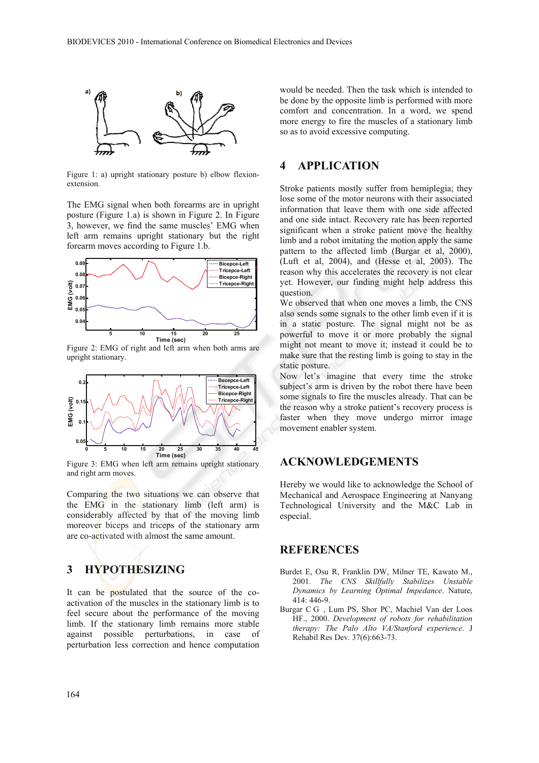

Figure 1: a) upright stationary posture b) elbow flexionextension.

The EMG signal when both forearms are in upright posture (Figure 1.a) is shown in Figure 2. In Figure 3, however, we find the same muscles' EMG when left arm remains upright stationary but the right forearm moves according to Figure 1.b.



Figure 2: EMG of right and left arm when both arms are upright stationary.



Figure 3: EMG when left arm remains upright stationary and right arm moves.

Comparing the two situations we can observe that the EMG in the stationary limb (left arm) is considerably affected by that of the moving limb moreover biceps and triceps of the stationary arm are co-activated with almost the same amount.

### **3 HYPOTHESIZING**

It can be postulated that the source of the coactivation of the muscles in the stationary limb is to feel secure about the performance of the moving limb. If the stationary limb remains more stable against possible perturbations, in case of perturbation less correction and hence computation

would be needed. Then the task which is intended to be done by the opposite limb is performed with more comfort and concentration. In a word, we spend more energy to fire the muscles of a stationary limb so as to avoid excessive computing.

### **4 APPLICATION**

Stroke patients mostly suffer from hemiplegia; they lose some of the motor neurons with their associated information that leave them with one side affected and one side intact. Recovery rate has been reported significant when a stroke patient move the healthy limb and a robot imitating the motion apply the same pattern to the affected limb (Burgar et al, 2000), (Luft et al, 2004), and (Hesse et al, 2003). The reason why this accelerates the recovery is not clear yet. However, our finding might help address this question.

We observed that when one moves a limb, the CNS also sends some signals to the other limb even if it is in a static posture. The signal might not be as powerful to move it or more probably the signal might not meant to move it; instead it could be to make sure that the resting limb is going to stay in the static posture.

Now let's imagine that every time the stroke subject's arm is driven by the robot there have been some signals to fire the muscles already. That can be the reason why a stroke patient's recovery process is faster when they move undergo mirror image movement enabler system.

### **ACKNOWLEDGEMENTS**

Hereby we would like to acknowledge the School of Mechanical and Aerospace Engineering at Nanyang Technological University and the M&C Lab in especial.

#### **REFERENCES**

- Burdet E, Osu R, Franklin DW, Milner TE, Kawato M., 2001. *The CNS Skillfully Stabilizes Unstable Dynamics by Learning Optimal Impedance*. Nature, 414: 446-9.
- Burgar C G , Lum PS, Shor PC, Machiel Van der Loos HF., 2000. *Development of robots for rehabilitation therapy: The Palo Alto VA/Stanford experience*. J Rehabil Res Dev. 37(6):663-73.